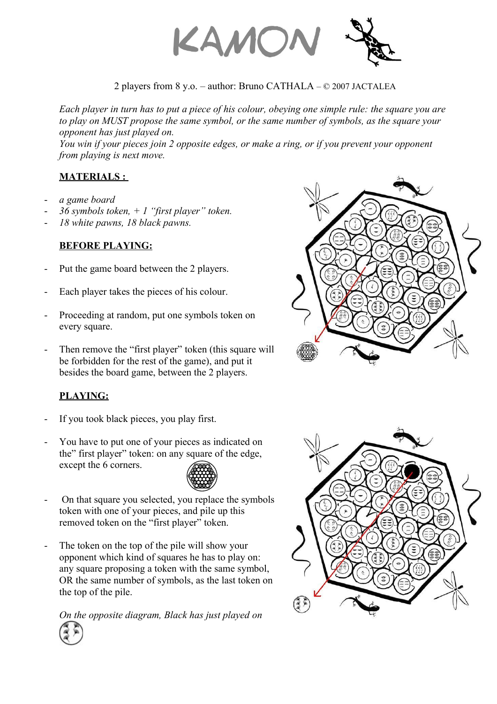

## 2 players from 8 y.o. – author: Bruno CATHALA – © 2007 JACTALEA

*Each player in turn has to put a piece of his colour, obeying one simple rule: the square you are to play on MUST propose the same symbol, or the same number of symbols, as the square your opponent has just played on.*

*You win if your pieces join 2 opposite edges, or make a ring, or if you prevent your opponent from playing is next move.*

#### **MATERIALS :**

- *a game board*
- *36 symbols token, + 1 "first player" token.*
- *18 white pawns, 18 black pawns.*

## **BEFORE PLAYING:**

- Put the game board between the 2 players.
- Each player takes the pieces of his colour.
- Proceeding at random, put one symbols token on every square.
- Then remove the "first player" token (this square will be forbidden for the rest of the game), and put it besides the board game, between the 2 players.

# **PLAYING:**

- If you took black pieces, you play first.
- You have to put one of your pieces as indicated on the" first player" token: on any square of the edge, except the 6 corners.



- On that square you selected, you replace the symbols token with one of your pieces, and pile up this removed token on the "first player" token.
- The token on the top of the pile will show your opponent which kind of squares he has to play on: any square proposing a token with the same symbol, OR the same number of symbols, as the last token on the top of the pile.

*On the opposite diagram, Black has just played on*